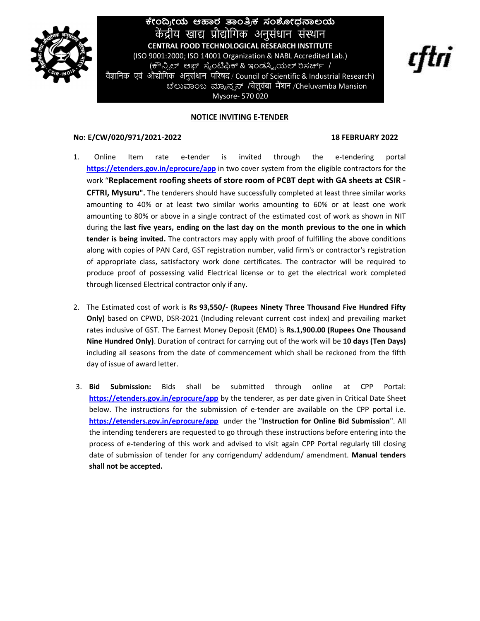

# l ಕೇಂದ್ರೀಯ ಆಹಾರ ತಾಂತ್ರಿಕ ಸಂಶೋಧನಾಲಯ ಕೇಂದ್ರೀಯ ಆಹಾರ ತಾಂತ್ರಿಕ ಸಂಶೋಧನಾಲಯ<br>— केंद्रीय खाद्य प्रौद्योगिक अनुसंधान संस्थान<br>CENTRAL FOOD TECHNOLOGICAL RESEARCH INSTITUTE<br>9001:2000; ISO 14001 Organization & NABL Accredited Lab.)<br>(ಕೌನ್ಸಿಲ್ ಆಫ್ ಸೈಂಟಿಫಿಕ್ & ಇಂಡಸ್ಟ್ರಿಯಲ (ISO 9001:2000; ISO 14001 Organization & NABL Accredited Lab.) ೇಂದ್ರೀಯ ಆಹಾರ ತಾಂತ್ರಿಕ ಸಂಶೋಧನಾಲಯ<br>ರಾಧಿ ಇಂದ್ರ ಗೋಗಿಸಿ ಎಂತಿ ಸಂಶೋಧನಾಲಯ<br>CENTRAL FOOD TECHNOLOGICAL RESEARCH INSTITUTE<br>2001:2000; ISO 14001 Organization & NABL Accredited Lab.)<br>(ಕೌನ್ಸಿಲ್ ಆಫ್ ಸೈಂಟಿಫಿಕ್ & ಇಂಡಸ್ಟ್ರಿಯೆಲ್ ರಿಸರ್ಚ್ /<br>ਐ वैज्ञानिक एवं औद्योगिक अनुसंधान परिषद / Council of Scientific & Industrial Research) **ಕೇಂದ್ರೀಯ ಆಹಾರ ತಾಂತ್ರಿಕ ಸಂಶೋಧನಾಲಯ**<br>
केंद्रीय खाद्य प्रौद्योगिक अनुसंधान संस्थान<br>
CENTRAL FOOD TECHNOLOGICAL RESEARCH INSTITUTE<br>
(ISO 9001:2000; ISO 14001 Organization & NABL Accredited Lab.)<br>
(क्<sup>0</sup>.ನಿ.ಲ್ ಆಫ್ ಸೈಂಟಿಫಿಕ್ &

### NOTICE INVITING E-TENDER

Mysore- 570 020

## No: E/CW/020/971/2021-2022 18 FEBRUARY 2022

- 1. Online Item rate e-tender is invited through the e-tendering portal https://etenders.gov.in/eprocure/app in two cover system from the eligible contractors for the work "Replacement roofing sheets of store room of PCBT dept with GA sheets at CSIR - CFTRI, Mysuru". The tenderers should have successfully completed at least three similar works amounting to 40% or at least two similar works amounting to 60% or at least one work amounting to 80% or above in a single contract of the estimated cost of work as shown in NIT during the last five years, ending on the last day on the month previous to the one in which tender is being invited. The contractors may apply with proof of fulfilling the above conditions along with copies of PAN Card, GST registration number, valid firm's or contractor's registration of appropriate class, satisfactory work done certificates. The contractor will be required to produce proof of possessing valid Electrical license or to get the electrical work completed through licensed Electrical contractor only if any.
- 2. The Estimated cost of work is Rs 93,550/- (Rupees Ninety Three Thousand Five Hundred Fifty Only) based on CPWD, DSR-2021 (Including relevant current cost index) and prevailing market rates inclusive of GST. The Earnest Money Deposit (EMD) is Rs.1,900.00 (Rupees One Thousand Nine Hundred Only). Duration of contract for carrying out of the work will be 10 days (Ten Days) including all seasons from the date of commencement which shall be reckoned from the fifth day of issue of award letter.
- 3. Bid Submission: Bids shall be submitted through online at CPP Portal: https://etenders.gov.in/eprocure/app by the tenderer, as per date given in Critical Date Sheet below. The instructions for the submission of e-tender are available on the CPP portal i.e. https://etenders.gov.in/eprocure/app under the "Instruction for Online Bid Submission". All the intending tenderers are requested to go through these instructions before entering into the process of e-tendering of this work and advised to visit again CPP Portal regularly till closing date of submission of tender for any corrigendum/ addendum/ amendment. Manual tenders shall not be accepted.